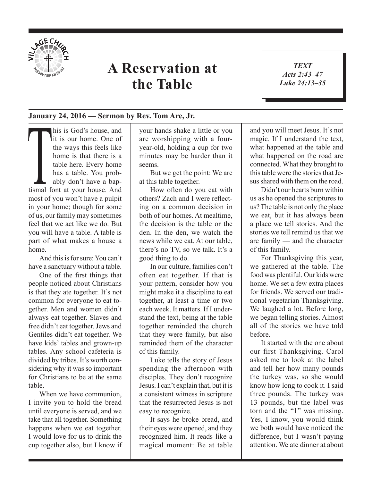

## **A Reservation at the Table**

*TEXT Acts 2:43–47 Luke 24:13–35* 1

## **January 24, 2016 — Sermon by Rev. Tom Are, Jr.**

This is God's house, and<br>
it is our home. One of<br>
the ways this feels like<br>
home is that there is a<br>
table here. Every home<br>
has a table. You prob-<br>
ably don't have a bap-<br>
tismal font at your house. And lit is our home. One of the ways this feels like home is that there is a table here. Every home has a table. You probably don't have a bapmost of you won't have a pulpit in your home; though for some of us, our family may sometimes feel that we act like we do. But you will have a table. A table is part of what makes a house a home.

And this is for sure: You can't have a sanctuary without a table.

One of the first things that people noticed about Christians is that they ate together. It's not common for everyone to eat together. Men and women didn't always eat together. Slaves and free didn't eat together. Jews and Gentiles didn't eat together. We have kids' tables and grown-up tables. Any school cafeteria is divided by tribes. It's worth considering why it was so important for Christians to be at the same table.

When we have communion, I invite you to hold the bread until everyone is served, and we take that all together. Something happens when we eat together. I would love for us to drink the cup together also, but I know if your hands shake a little or you are worshipping with a fouryear-old, holding a cup for two minutes may be harder than it seems.

But we get the point: We are at this table together.

How often do you eat with others? Zach and I were reflecting on a common decision in both of our homes. At mealtime, the decision is the table or the den. In the den, we watch the news while we eat. At our table, there's no TV, so we talk. It's a good thing to do.

In our culture, families don't often eat together. If that is your pattern, consider how you might make it a discipline to eat together, at least a time or two each week. It matters. If I understand the text, being at the table together reminded the church that they were family, but also reminded them of the character of this family.

Luke tells the story of Jesus spending the afternoon with disciples. They don't recognize Jesus. I can't explain that, but it is a consistent witness in scripture that the resurrected Jesus is not easy to recognize.

It says he broke bread, and their eyes were opened, and they recognized him. It reads like a magical moment: Be at table and you will meet Jesus. It's not magic. If I understand the text, what happened at the table and what happened on the road are connected. What they brought to this table were the stories that Jesus shared with them on the road.

Didn't our hearts burn within us as he opened the scriptures to us? The table is not only the place we eat, but it has always been a place we tell stories. And the stories we tell remind us that we are family — and the character of this family.

For Thanksgiving this year, we gathered at the table. The food was plentiful. Our kids were home. We set a few extra places for friends. We served our traditional vegetarian Thanksgiving. We laughed a lot. Before long, we began telling stories. Almost all of the stories we have told before.

It started with the one about our first Thanksgiving. Carol asked me to look at the label and tell her how many pounds the turkey was, so she would know how long to cook it. I said three pounds. The turkey was 13 pounds, but the label was torn and the "1" was missing. Yes, I know, you would think we both would have noticed the difference, but I wasn't paying attention. We ate dinner at about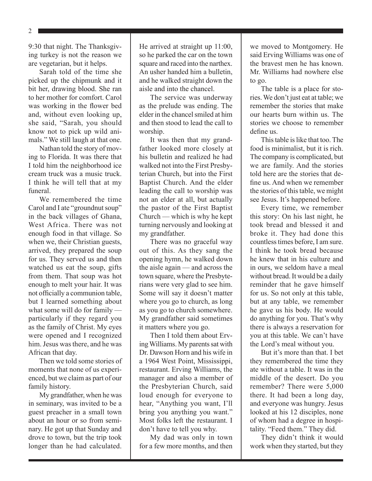2

9:30 that night. The Thanksgiving turkey is not the reason we are vegetarian, but it helps.

Sarah told of the time she picked up the chipmunk and it bit her, drawing blood. She ran to her mother for comfort. Carol was working in the flower bed and, without even looking up, she said, "Sarah, you should know not to pick up wild animals." We still laugh at that one.

Nathan told the story of moving to Florida. It was there that I told him the neighborhood ice cream truck was a music truck. I think he will tell that at my funeral.

We remembered the time Carol and I ate "groundnut soup" in the back villages of Ghana, West Africa. There was not enough food in that village. So when we, their Christian guests, arrived, they prepared the soup for us. They served us and then watched us eat the soup, gifts from them. That soup was hot enough to melt your hair. It was not officially a communion table, but I learned something about what some will do for family particularly if they regard you as the family of Christ. My eyes were opened and I recognized him. Jesus was there, and he was African that day.

Then we told some stories of moments that none of us experienced, but we claim as part of our family history.

My grandfather, when he was in seminary, was invited to be a guest preacher in a small town about an hour or so from seminary. He got up that Sunday and drove to town, but the trip took longer than he had calculated. He arrived at straight up 11:00, so he parked the car on the town square and raced into the narthex. An usher handed him a bulletin, and he walked straight down the aisle and into the chancel.

The service was underway as the prelude was ending. The elder in the chancel smiled at him and then stood to lead the call to worship.

It was then that my grandfather looked more closely at his bulletin and realized he had walked not into the First Presbyterian Church, but into the First Baptist Church. And the elder leading the call to worship was not an elder at all, but actually the pastor of the First Baptist Church — which is why he kept turning nervously and looking at my grandfather.

There was no graceful way out of this. As they sang the opening hymn, he walked down the aisle again — and across the town square, where the Presbyterians were very glad to see him. Some will say it doesn't matter where you go to church, as long as you go to church somewhere. My grandfather said sometimes it matters where you go.

Then I told them about Erving Williams. My parents sat with Dr. Dawson Horn and his wife in a 1964 West Point, Mississippi, restaurant. Erving Williams, the manager and also a member of the Presbyterian Church, said loud enough for everyone to hear, "Anything you want, I'll bring you anything you want." Most folks left the restaurant. I don't have to tell you why.

My dad was only in town for a few more months, and then we moved to Montgomery. He said Erving Williams was one of the bravest men he has known. Mr. Williams had nowhere else to go.

The table is a place for stories. We don't just eat at table; we remember the stories that make our hearts burn within us. The stories we choose to remember define us.

This table is like that too. The food is minimalist, but it is rich. The company is complicated, but we are family. And the stories told here are the stories that define us. And when we remember the stories of this table, we might see Jesus. It's happened before.

Every time, we remember this story: On his last night, he took bread and blessed it and broke it. They had done this countless times before, I am sure. I think he took bread because he knew that in his culture and in ours, we seldom have a meal without bread. It would be a daily reminder that he gave himself for us. So not only at this table, but at any table, we remember he gave us his body. He would do anything for you. That's why there is always a reservation for you at this table. We can't have the Lord's meal without you.

But it's more than that. I bet they remembered the time they ate without a table. It was in the middle of the desert. Do you remember? There were 5,000 there. It had been a long day, and everyone was hungry. Jesus looked at his 12 disciples, none of whom had a degree in hospitality. "Feed them." They did.

They didn't think it would work when they started, but they